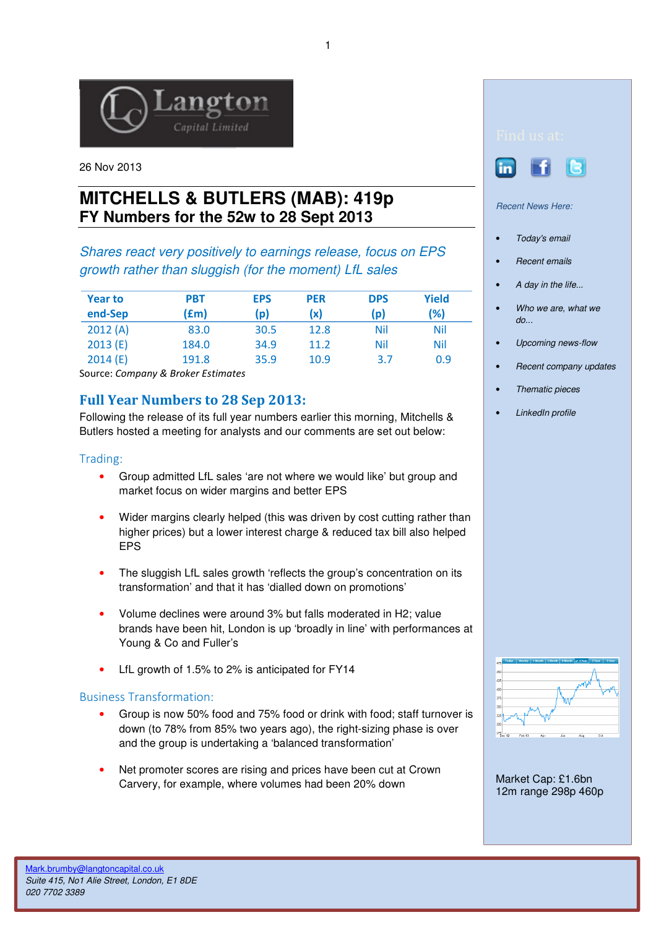

26 Nov 2013

# **MITCHELLS & BUTLERS (MAB): 419p FY Numbers for the 52w to 28 Sept 2013**

Shares react very positively to earnings release, focus on EPS growth rather than sluggish (for the moment) LfL sales

| <b>Year to</b> | <b>PBT</b> | <b>EPS</b> | <b>PER</b> | <b>DPS</b> | Yield |
|----------------|------------|------------|------------|------------|-------|
| end-Sep        | (£m)       | (p)        | (x)        | (p)        | (%)   |
| 2012(A)        | 83.0       | 30.5       | 12.8       | Nil        | Nil   |
| 2013(E)        | 184.0      | 34.9       | 11.2       | Nil        | Nil   |
| 2014(E)        | 191.8      | 35.9       | 10.9       | 3.7        | 0.9   |

Source: Company & Broker Estimates

## Full Year Numbers to 28 Sep 2013:

Following the release of its full year numbers earlier this morning, Mitchells & Butlers hosted a meeting for analysts and our comments are set out below:

### Trading:

- Group admitted LfL sales 'are not where we would like' but group and market focus on wider margins and better EPS
- Wider margins clearly helped (this was driven by cost cutting rather than higher prices) but a lower interest charge & reduced tax bill also helped EPS
- The sluggish LfL sales growth 'reflects the group's concentration on its transformation' and that it has 'dialled down on promotions'
- Volume declines were around 3% but falls moderated in H2; value brands have been hit, London is up 'broadly in line' with performances at Young & Co and Fuller's
- LfL growth of 1.5% to 2% is anticipated for FY14

### Business Transformation:

- Group is now 50% food and 75% food or drink with food; staff turnover is down (to 78% from 85% two years ago), the right-sizing phase is over and the group is undertaking a 'balanced transformation'
- Net promoter scores are rising and prices have been cut at Crown Carvery, for example, where volumes had been 20% down



Recent News Here:

- Today's email
- Recent emails
- A day in the life...
- Who we are, what we  $d\rho$ ...
- Upcoming news-flow
- Recent company updates
- Thematic pieces
- LinkedIn profile



Market Cap: £1.6bn 12m range 298p 460p